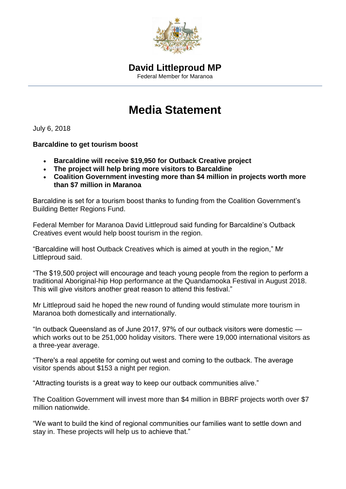

## **Media Statement**

July 6, 2018

## **Barcaldine to get tourism boost**

- **Barcaldine will receive \$19,950 for Outback Creative project**
- **The project will help bring more visitors to Barcaldine**
- **Coalition Government investing more than \$4 million in projects worth more than \$7 million in Maranoa**

Barcaldine is set for a tourism boost thanks to funding from the Coalition Government's Building Better Regions Fund.

Federal Member for Maranoa David Littleproud said funding for Barcaldine's Outback Creatives event would help boost tourism in the region.

"Barcaldine will host Outback Creatives which is aimed at youth in the region," Mr Littleproud said.

"The \$19,500 project will encourage and teach young people from the region to perform a traditional Aboriginal-hip Hop performance at the Quandamooka Festival in August 2018. This will give visitors another great reason to attend this festival."

Mr Littleproud said he hoped the new round of funding would stimulate more tourism in Maranoa both domestically and internationally.

"In outback Queensland as of June 2017, 97% of our outback visitors were domestic which works out to be 251,000 holiday visitors. There were 19,000 international visitors as a three-year average.

"There's a real appetite for coming out west and coming to the outback. The average visitor spends about \$153 a night per region.

"Attracting tourists is a great way to keep our outback communities alive."

The Coalition Government will invest more than \$4 million in BBRF projects worth over \$7 million nationwide.

"We want to build the kind of regional communities our families want to settle down and stay in. These projects will help us to achieve that."